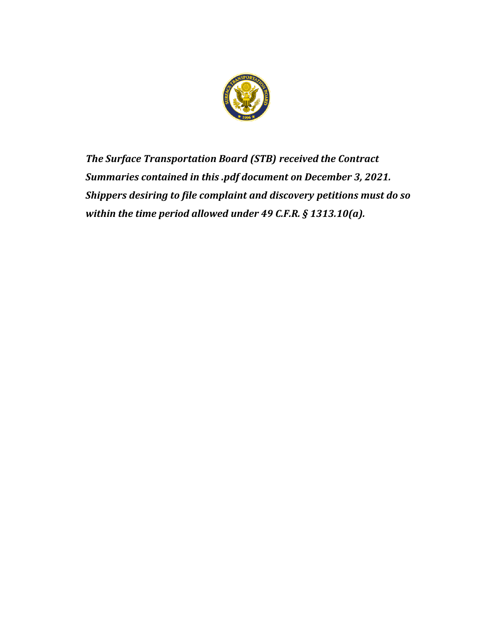

*The Surface Transportation Board (STB) received the Contract Summaries contained in this .pdf document on December 3, 2021. Shippers desiring to file complaint and discovery petitions must do so within the time period allowed under 49 C.F.R. § 1313.10(a).*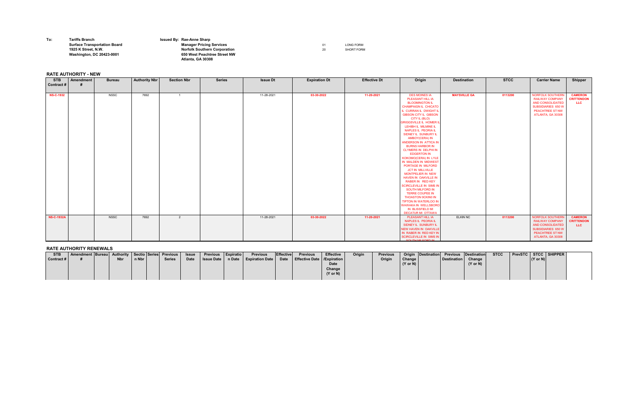**To: Tariffs Branch Issued By: Rae-Anne Sharp**

**Surface Transportation Board Manager Pricing Services LONG FORM 1925 K Street, N.W. Norfolk Southern Corporation** 20 SHORT FORM **Washington, DC 20423-0001 650 West Peachtree Street NW Atlanta, GA 30308**

## **RATE AUTHORITY - NEW**

## **RATE AUTHORITY RENEWALS**

| <b>STB</b> | Amendment   Bureau   Authority   Sectio   Series   Previous   Issue |  |            |       |  |               |  | Previous   Expiratio |  | <b>Previous</b>                                                                    | Effective | <b>Previous</b> | <b>Effective</b>    | Origin | <b>Previous</b> |                     | Origin   Destination   Previous   Destination   STCC |                     |  |                     | <b>PrevSTC   STCC   SHIPPER  </b> |  |
|------------|---------------------------------------------------------------------|--|------------|-------|--|---------------|--|----------------------|--|------------------------------------------------------------------------------------|-----------|-----------------|---------------------|--------|-----------------|---------------------|------------------------------------------------------|---------------------|--|---------------------|-----------------------------------|--|
| Contract # |                                                                     |  | <b>Nbr</b> | n Nbr |  | <b>Series</b> |  |                      |  | Date   Issue Date   n Date   Expiration Date   Date   Effective Date   /Expiration |           |                 |                     |        | Origin          | $ $ Change $ $      | Destination   Change                                 |                     |  | $(Y \text{ or } N)$ |                                   |  |
|            |                                                                     |  |            |       |  |               |  |                      |  |                                                                                    |           |                 | Date                |        |                 | $(Y \text{ or } N)$ |                                                      | $(Y \text{ or } N)$ |  |                     |                                   |  |
|            |                                                                     |  |            |       |  |               |  |                      |  |                                                                                    |           |                 | Change              |        |                 |                     |                                                      |                     |  |                     |                                   |  |
|            |                                                                     |  |            |       |  |               |  |                      |  |                                                                                    |           |                 | $(Y \text{ or } N)$ |        |                 |                     |                                                      |                     |  |                     |                                   |  |
|            |                                                                     |  |            |       |  |               |  |                      |  |                                                                                    |           |                 |                     |        |                 |                     |                                                      |                     |  |                     |                                   |  |

| <b>STB</b><br>Contract # | Amendment | <b>Bureau</b> | <b>Authority Nbr</b> | <b>Section Nbr</b> | <b>Series</b> | <b>Issue Dt</b> | <b>Expiration Dt</b> | <b>Effective Dt</b> | Origin                                                                                                                                                                                                                                                                                                                                                                                                                                                                                                                                                                                                                                                                                                                                                                                                                    | <b>Destination</b>  | <b>STCC</b> | <b>Carrier Name</b>                                                                                                                 | <b>Shipper</b>                                    |
|--------------------------|-----------|---------------|----------------------|--------------------|---------------|-----------------|----------------------|---------------------|---------------------------------------------------------------------------------------------------------------------------------------------------------------------------------------------------------------------------------------------------------------------------------------------------------------------------------------------------------------------------------------------------------------------------------------------------------------------------------------------------------------------------------------------------------------------------------------------------------------------------------------------------------------------------------------------------------------------------------------------------------------------------------------------------------------------------|---------------------|-------------|-------------------------------------------------------------------------------------------------------------------------------------|---------------------------------------------------|
| <b>NS-C-1932</b>         |           | <b>NSSC</b>   | 7692                 |                    |               | 11-28-2021      | 03-30-2022           | 11-20-2021          | <b>DES MOINES IA</b><br>PLEASANT HILL IA<br><b>BLOOMINGTON IL</b><br>CHAMPAIGN IL CHICATO<br>IL CURRAN IL DWIGHT IL<br><b>GIBSON CITY IL GIBSON</b><br>CITY IL (BLO)<br><b>GRIGGSVILLE IL HOMER IL</b><br>LEHIBH IL MILMINE IL<br><b>NAPLES IL PEORIA IL</b><br>SIDNEY IL SUNBURY IL<br><b>AMBOY(CERA) IN</b><br>ANDERSON IN ATTICA IN<br><b>BURNS HARBOR IN</b><br><b>CLYMERS IN DELPHI IN</b><br><b>EDGERTON IN</b><br><b>KOKOMO(CERA) IN LYLE</b><br>IN MALDEN IN MIDWEST<br>PORTAGE IN MILFORD<br><b>JCT IN MILLVILLE</b><br><b>MONTPELIER IN NEW</b><br>HAVEN IN OAKVILLE IN<br>RABER IN RED KEY<br>SCIRCLEVILLE IN SIMS IN<br><b>SOUTH MILFORD IN</b><br>TERRE COUPEE IN<br><b>THOASTON 9CKIN0 IN</b><br><b>TIPTON IN WATERLOO IN</b><br>WAWAKA IN WELLSBORO<br><b>IN BLISSFIELD MI</b><br><b>DECATUR MI OTTAWA</b> | <b>MAYSVILLE GA</b> | 0113200     | <b>NORFOLK SOUTHERN</b><br><b>RAILWAY COMPANY</b><br>AND CONSOLIDATED<br>SUBSIDIARIES 650 W<br>PEACHTREE ST NW<br>ATLANTA, GA 30308 | <b>CAMERON</b><br><b>CRITTENDON</b><br><b>LLC</b> |
| <b>NS-C-1932A</b>        |           | <b>NSSC</b>   | 7692                 | $\overline{2}$     |               | 11-28-2021      | 03-30-2022           | 11-20-2021          | <b>PLEASANT HILL IA</b><br>NAPLES IL PEORIA IL<br>SIDNEY IL SUNBURY IL<br>NEW HAVEN IN OAKVILLE<br>IN RABER IN RED KEY IN<br>SCIRCLEVILLE IN SIMS IN<br><b>COUTLIME CODD IN</b>                                                                                                                                                                                                                                                                                                                                                                                                                                                                                                                                                                                                                                           | <b>ELKIN NC</b>     | 0113200     | <b>NORFOLK SOUTHERN</b><br><b>RAILWAY COMPANY</b><br>AND CONSOLIDATED<br>SUBSIDIARIES 650 W<br>PEACHTREE ST NW<br>ATLANTA, GA 30308 | <b>CAMERON</b><br><b>CRITTENDON</b><br><b>LLC</b> |